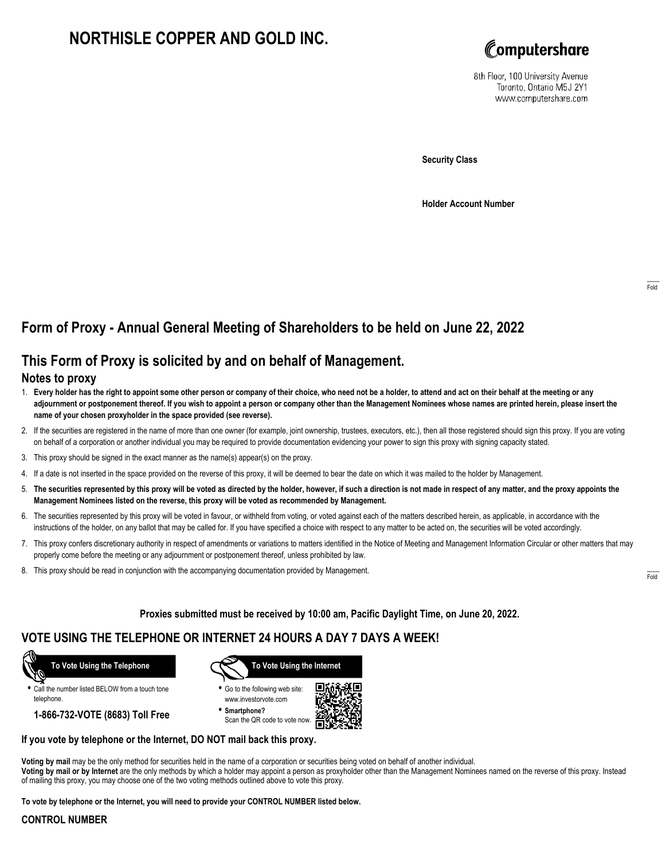# **NORTHISLE COPPER AND GOLD INC.**



8th Floor, 100 University Avenue Toronto, Ontario M5J 2Y1 www.computershare.com

**Security Class**

**Holder Account Number**

## **Form of Proxy - Annual General Meeting of Shareholders to be held on June 22, 2022**

## **This Form of Proxy is solicited by and on behalf of Management.**

#### **Notes to proxy**

- 1. **Every holder has the right to appoint some other person or company of their choice, who need not be a holder, to attend and act on their behalf at the meeting or any adjournment or postponement thereof. If you wish to appoint a person or company other than the Management Nominees whose names are printed herein, please insert the name of your chosen proxyholder in the space provided (see reverse).**
- 2. If the securities are registered in the name of more than one owner (for example, joint ownership, trustees, executors, etc.), then all those registered should sign this proxy. If you are voting on behalf of a corporation or another individual you may be required to provide documentation evidencing your power to sign this proxy with signing capacity stated.
- 3. This proxy should be signed in the exact manner as the name(s) appear(s) on the proxy.
- 4. If a date is not inserted in the space provided on the reverse of this proxy, it will be deemed to bear the date on which it was mailed to the holder by Management.
- 5. **The securities represented by this proxy will be voted as directed by the holder, however, if such a direction is not made in respect of any matter, and the proxy appoints the Management Nominees listed on the reverse, this proxy will be voted as recommended by Management.**
- 6. The securities represented by this proxy will be voted in favour, or withheld from voting, or voted against each of the matters described herein, as applicable, in accordance with the instructions of the holder, on any ballot that may be called for. If you have specified a choice with respect to any matter to be acted on, the securities will be voted accordingly.
- 7. This proxy confers discretionary authority in respect of amendments or variations to matters identified in the Notice of Meeting and Management Information Circular or other matters that may properly come before the meeting or any adjournment or postponement thereof, unless prohibited by law.
- 8. This proxy should be read in conjunction with the accompanying documentation provided by Management.

**Proxies submitted must be received by 10:00 am, Pacific Daylight Time, on June 20, 2022.**

## **VOTE USING THE TELEPHONE OR INTERNET 24 HOURS A DAY 7 DAYS A WEEK!**



**•** Call the number listed BELOW from a touch tone telephone.

**1-866-732-VOTE (8683) Toll Free**



**•** Go to the following web site: www.investorvote.com

**• Smartphone?** Scan the QR code to vote now.



#### **If you vote by telephone or the Internet, DO NOT mail back this proxy.**

**Voting by mail** may be the only method for securities held in the name of a corporation or securities being voted on behalf of another individual. **Voting by mail or by Internet** are the only methods by which a holder may appoint a person as proxyholder other than the Management Nominees named on the reverse of this proxy. Instead of mailing this proxy, you may choose one of the two voting methods outlined above to vote this proxy.

**To vote by telephone or the Internet, you will need to provide your CONTROL NUMBER listed below.**

#### **CONTROL NUMBER**